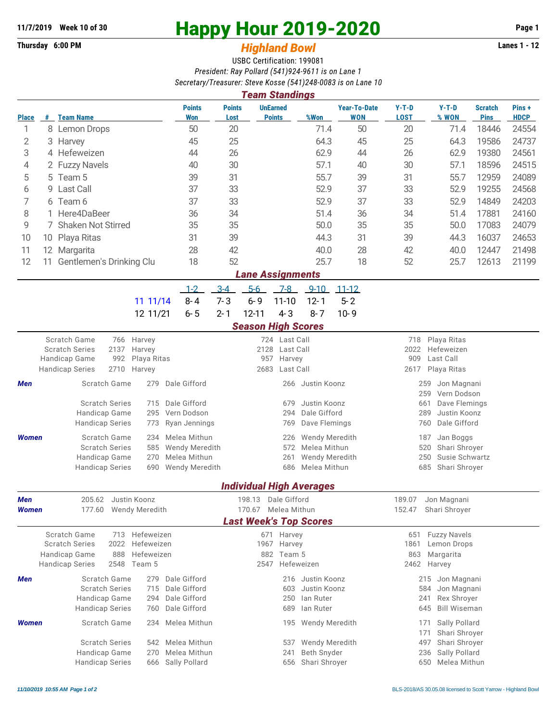## **11/7/2019 Week 10 of 30 Happy Hour 2019-2020 Page 1**

## **Thursday 6:00 PM** *Highland Bowl* **Lanes 1 - 12**

USBC Certification: 199081 *President: Ray Pollard (541)924-9611 is on Lane 1 Secretary/Treasurer: Steve Kosse (541)248-0083 is on Lane 10*

| 0001010177110030101.010101103301071727000001301120110<br><b>Team Standings</b> |    |                                                        |                                |                           |                                                         |            |                                  |                                                                      |                                              |                            |                                                   |                               |                      |  |  |  |
|--------------------------------------------------------------------------------|----|--------------------------------------------------------|--------------------------------|---------------------------|---------------------------------------------------------|------------|----------------------------------|----------------------------------------------------------------------|----------------------------------------------|----------------------------|---------------------------------------------------|-------------------------------|----------------------|--|--|--|
| <b>Place</b>                                                                   |    | # Team Name                                            |                                | <b>Points</b><br>Won      | <b>Points</b><br>Lost                                   |            | <b>UnEarned</b><br><b>Points</b> | %Won                                                                 | <b>Year-To-Date</b><br>WON                   | $Y-T-D$<br><b>LOST</b>     | $Y-T-D$<br>% WON                                  | <b>Scratch</b><br><b>Pins</b> | Pins+<br><b>HDCP</b> |  |  |  |
| 1                                                                              |    | 8 Lemon Drops                                          |                                | 50                        | 20                                                      |            |                                  | 71.4                                                                 | 50                                           | 20                         | 71.4                                              | 18446                         | 24554                |  |  |  |
| 2                                                                              |    | 3 Harvey                                               |                                | 45                        | 25                                                      |            |                                  | 64.3                                                                 | 45                                           | 25                         | 64.3                                              | 19586                         | 24737                |  |  |  |
| 3                                                                              |    | 4 Hefeweizen                                           |                                | 44                        | 26                                                      |            |                                  | 62.9                                                                 | 44                                           | 26                         | 62.9                                              | 19380                         | 24561                |  |  |  |
| 4                                                                              |    | 2 Fuzzy Navels                                         |                                | 40                        | 30                                                      |            |                                  | 57.1                                                                 | 40                                           | 30                         | 57.1                                              | 18596                         | 24515                |  |  |  |
| 5                                                                              |    | 5 Team 5                                               |                                | 39                        | 31                                                      |            |                                  | 55.7                                                                 | 39                                           | 31                         | 55.7                                              | 12959                         | 24089                |  |  |  |
| 6                                                                              | 9. | <b>Last Call</b>                                       |                                | 37                        | 33                                                      |            |                                  | 52.9                                                                 | 37                                           | 33                         | 52.9                                              | 19255                         | 24568                |  |  |  |
| 7                                                                              |    | 6 Team 6                                               |                                | 37                        | 33                                                      |            |                                  | 52.9                                                                 | 37                                           | 33                         | 52.9                                              | 14849                         | 24203                |  |  |  |
| 8                                                                              |    | 1 Here4DaBeer                                          |                                | 36                        | 34                                                      |            |                                  | 51.4                                                                 | 36                                           | 34                         | 51.4                                              | 17881                         | 24160                |  |  |  |
| 9                                                                              |    | 7 Shaken Not Stirred                                   | 35                             | 35                        |                                                         |            | 50.0                             | 35                                                                   | 35                                           | 50.0                       | 17083                                             | 24079                         |                      |  |  |  |
| 10                                                                             |    | 10 Playa Ritas                                         |                                | 31                        | 39                                                      |            |                                  | 44.3                                                                 | 31                                           | 39                         | 44.3                                              | 16037                         | 24653                |  |  |  |
| 11                                                                             |    | 12 Margarita                                           |                                | 28                        | 42                                                      |            |                                  | 40.0                                                                 | 28                                           | 42                         | 40.0                                              | 12447                         | 21498                |  |  |  |
| 12                                                                             | 11 | Gentlemen's Drinking Clu                               |                                | 18                        | 52                                                      |            |                                  | 25.7                                                                 | 18                                           | 52                         | 25.7                                              | 12613                         | 21199                |  |  |  |
| <b>Lane Assignments</b>                                                        |    |                                                        |                                |                           |                                                         |            |                                  |                                                                      |                                              |                            |                                                   |                               |                      |  |  |  |
|                                                                                |    |                                                        |                                | $1 - 2$                   | $3 - 4$                                                 | $5-6$      | 7-8                              | $9 - 10$                                                             | $11 - 12$                                    |                            |                                                   |                               |                      |  |  |  |
|                                                                                |    |                                                        | 11 11/14                       | $8 - 4$                   | $7 - 3$                                                 | $6 - 9$    | $11 - 10$                        | $12 - 1$                                                             | $5 - 2$                                      |                            |                                                   |                               |                      |  |  |  |
|                                                                                |    |                                                        | 12 11/21                       | $6 - 5$                   | $2 - 1$                                                 | $12 - 11$  | $4 - 3$                          | $8 - 7$                                                              | $10 - 9$                                     |                            |                                                   |                               |                      |  |  |  |
|                                                                                |    |                                                        |                                |                           |                                                         |            |                                  | <b>Season High Scores</b>                                            |                                              |                            |                                                   |                               |                      |  |  |  |
|                                                                                |    | <b>Scratch Game</b><br>766                             | Harvey<br>Harvey               |                           | 724 Last Call<br>718<br>Playa Ritas                     |            |                                  |                                                                      |                                              |                            |                                                   |                               |                      |  |  |  |
|                                                                                |    | <b>Scratch Series</b><br>2137                          |                                |                           | 2128 Last Call                                          |            |                                  |                                                                      |                                              | 2022<br>Hefeweizen<br>909  |                                                   |                               |                      |  |  |  |
|                                                                                |    | Handicap Game<br>992<br><b>Handicap Series</b><br>2710 | Playa Ritas<br>Harvey          |                           | 957 Harvey<br>2683<br>Last Call                         |            |                                  |                                                                      |                                              |                            | Last Call<br>Playa Ritas                          |                               |                      |  |  |  |
|                                                                                |    | Scratch Game                                           | 279                            | Dale Gifford              |                                                         |            |                                  |                                                                      |                                              | 2617<br>Jon Magnani<br>259 |                                                   |                               |                      |  |  |  |
| Men                                                                            |    |                                                        |                                |                           |                                                         |            | 266 Justin Koonz                 |                                                                      | 259<br>Vern Dodson                           |                            |                                                   |                               |                      |  |  |  |
|                                                                                |    | <b>Scratch Series</b>                                  | Dale Gifford                   | Justin Koonz<br>679       |                                                         |            |                                  |                                                                      |                                              | 661<br>Dave Flemings       |                                                   |                               |                      |  |  |  |
|                                                                                |    | Handicap Game                                          | Vern Dodson                    | Dale Gifford<br>294       |                                                         |            |                                  |                                                                      |                                              | 289<br>Justin Koonz        |                                                   |                               |                      |  |  |  |
|                                                                                |    | <b>Handicap Series</b>                                 | Ryan Jennings                  | Dave Flemings<br>769      |                                                         |            |                                  |                                                                      |                                              | 760<br>Dale Gifford        |                                                   |                               |                      |  |  |  |
| <b>Women</b>                                                                   |    | Scratch Game                                           | Melea Mithun                   |                           |                                                         | 226        | <b>Wendy Meredith</b>            |                                                                      | 187<br>Jan Boggs                             |                            |                                                   |                               |                      |  |  |  |
|                                                                                |    | <b>Scratch Series</b>                                  | <b>Wendy Meredith</b>          |                           |                                                         | 572        |                                  | Melea Mithun<br>Shari Shroyer<br>520<br>250<br><b>Wendy Meredith</b> |                                              |                            |                                                   |                               |                      |  |  |  |
|                                                                                |    | Handicap Game<br><b>Handicap Series</b>                | Melea Mithun<br>Wendy Meredith |                           |                                                         | 261<br>686 | Melea Mithun                     |                                                                      | Susie Schwartz<br>685<br>Shari Shroyer       |                            |                                                   |                               |                      |  |  |  |
|                                                                                |    |                                                        | 690                            |                           |                                                         |            |                                  |                                                                      |                                              |                            |                                                   |                               |                      |  |  |  |
|                                                                                |    |                                                        |                                |                           |                                                         |            |                                  | <b>Individual High Averages</b>                                      |                                              |                            |                                                   |                               |                      |  |  |  |
| Men                                                                            |    | Justin Koonz<br>205.62                                 |                                | 198.13<br>Dale Gifford    |                                                         |            |                                  |                                                                      | Jon Magnani<br>189.07                        |                            |                                                   |                               |                      |  |  |  |
| Women                                                                          |    | 177.60                                                 | <b>Wendy Meredith</b>          |                           | Melea Mithun<br>170.67<br><b>Last Week's Top Scores</b> |            |                                  |                                                                      |                                              | 152.47<br>Shari Shroyer    |                                                   |                               |                      |  |  |  |
|                                                                                |    |                                                        |                                |                           |                                                         |            |                                  |                                                                      |                                              |                            |                                                   |                               |                      |  |  |  |
|                                                                                |    | Scratch Game<br><b>Scratch Series</b><br>2022          | 713 Hefeweizen<br>Hefeweizen   |                           | 671 Harvey<br>1967 Harvey                               |            |                                  |                                                                      |                                              |                            | <b>Fuzzy Navels</b><br>651<br>Lemon Drops<br>1861 |                               |                      |  |  |  |
|                                                                                |    | 888<br>Handicap Game                                   | Hefeweizen                     |                           | 882 Team 5                                              |            |                                  |                                                                      |                                              |                            | Margarita<br>863                                  |                               |                      |  |  |  |
|                                                                                |    | <b>Handicap Series</b><br>2548                         | Team 5                         |                           | 2547<br>Hefeweizen                                      |            |                                  |                                                                      |                                              |                            | 2462 Harvey                                       |                               |                      |  |  |  |
| Men                                                                            |    | Scratch Game                                           | 279                            | Dale Gifford              |                                                         |            |                                  | 216 Justin Koonz                                                     |                                              |                            | 215 Jon Magnani                                   |                               |                      |  |  |  |
|                                                                                |    | <b>Scratch Series</b>                                  | 715                            | Dale Gifford              |                                                         |            | 603                              | Justin Koonz                                                         |                                              |                            | 584<br>Jon Magnani                                |                               |                      |  |  |  |
|                                                                                |    | Handicap Game                                          | 294                            | Dale Gifford              |                                                         |            | 250                              | lan Ruter                                                            |                                              |                            | 241<br>Rex Shroyer<br>645<br><b>Bill Wiseman</b>  |                               |                      |  |  |  |
|                                                                                |    | <b>Handicap Series</b>                                 | 760                            | Dale Gifford              |                                                         |            | 689                              | lan Ruter                                                            |                                              |                            |                                                   |                               |                      |  |  |  |
| <b>Women</b>                                                                   |    | Scratch Game                                           | 234                            | Melea Mithun              |                                                         |            |                                  | 195 Wendy Meredith                                                   |                                              |                            | Sally Pollard<br>171                              |                               |                      |  |  |  |
|                                                                                |    | <b>Scratch Series</b>                                  | Melea Mithun                   |                           |                                                         | 537        | Wendy Meredith                   |                                                                      | 171<br>Shari Shroyer<br>Shari Shroyer<br>497 |                            |                                                   |                               |                      |  |  |  |
|                                                                                |    | Handicap Game                                          | Melea Mithun                   | Beth Snyder<br>236<br>241 |                                                         |            |                                  |                                                                      |                                              | Sally Pollard              |                                                   |                               |                      |  |  |  |
|                                                                                |    | <b>Handicap Series</b>                                 | 666                            | Sally Pollard             |                                                         |            | 656                              | Shari Shroyer                                                        |                                              |                            | Melea Mithun<br>650                               |                               |                      |  |  |  |
|                                                                                |    |                                                        |                                |                           |                                                         |            |                                  |                                                                      |                                              |                            |                                                   |                               |                      |  |  |  |